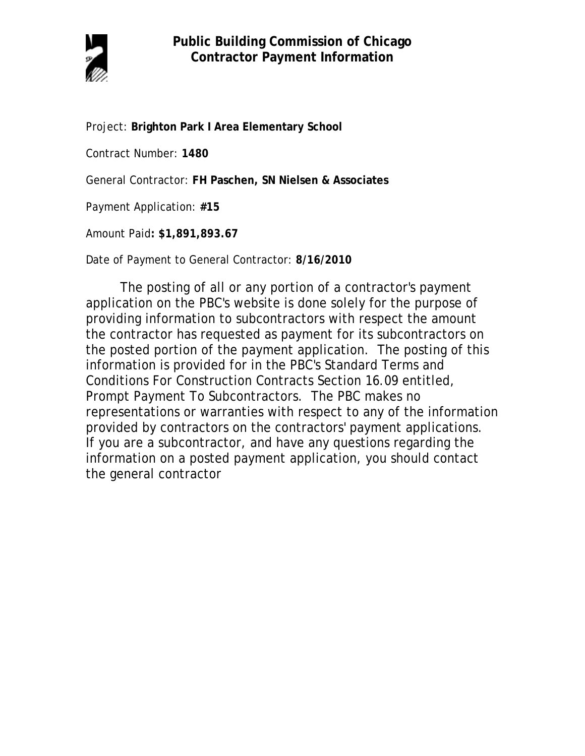

Project: **Brighton Park I Area Elementary School**

Contract Number: **1480**

General Contractor: **FH Paschen, SN Nielsen & Associates**

Payment Application: **#15**

Amount Paid**: \$1,891,893.67** 

Date of Payment to General Contractor: **8/16/2010**

The posting of all or any portion of a contractor's payment application on the PBC's website is done solely for the purpose of providing information to subcontractors with respect the amount the contractor has requested as payment for its subcontractors on the posted portion of the payment application. The posting of this information is provided for in the PBC's Standard Terms and Conditions For Construction Contracts Section 16.09 entitled, Prompt Payment To Subcontractors. The PBC makes no representations or warranties with respect to any of the information provided by contractors on the contractors' payment applications. If you are a subcontractor, and have any questions regarding the information on a posted payment application, you should contact the general contractor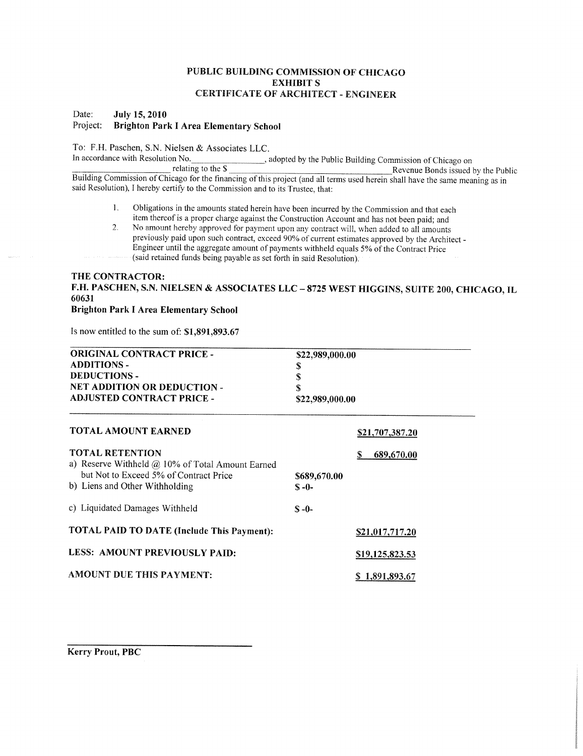## PUBLIC BUILDING COMMISSION OF CHICAGO **EXHIBIT S CERTIFICATE OF ARCHITECT - ENGINEER**

#### Date: **July 15, 2010** Project: **Brighton Park I Area Elementary School**

To: F.H. Paschen, S.N. Nielsen & Associates LLC.

In accordance with Resolution No. adopted by the Public Building Commission of Chicago on relating to the  $\frac{1}{5}$ Revenue Bonds issued by the Public Building Commission of Chicago for the financing of this project (and all terms used herein shall have the same meaning as in said Resolution), I hereby certify to the Commission and to its Trustee, that:

- Obligations in the amounts stated herein have been incurred by the Commission and that each  $1.$ item thereof is a proper charge against the Construction Account and has not been paid; and
- No amount hereby approved for payment upon any contract will, when added to all amounts  $\overline{2}$ previously paid upon such contract, exceed 90% of current estimates approved by the Architect -Engineer until the aggregate amount of payments withheld equals 5% of the Contract Price (said retained funds being payable as set forth in said Resolution).

# THE CONTRACTOR: F.H. PASCHEN, S.N. NIELSEN & ASSOCIATES LLC - 8725 WEST HIGGINS, SUITE 200, CHICAGO, IL

## 60631

# **Brighton Park I Area Elementary School**

Is now entitled to the sum of: \$1,891,893.67

| <b>ORIGINAL CONTRACT PRICE -</b><br><b>ADDITIONS -</b><br><b>DEDUCTIONS -</b><br>NET ADDITION OR DEDUCTION -<br><b>ADJUSTED CONTRACT PRICE -</b>       | \$22,989,000.00<br>S<br>\$<br>S<br>\$22,989,000.00 |                        |  |
|--------------------------------------------------------------------------------------------------------------------------------------------------------|----------------------------------------------------|------------------------|--|
| <b>TOTAL AMOUNT EARNED</b>                                                                                                                             |                                                    | <b>\$21,707,387.20</b> |  |
| <b>TOTAL RETENTION</b><br>a) Reserve Withheld @ 10% of Total Amount Earned<br>but Not to Exceed 5% of Contract Price<br>b) Liens and Other Withholding | \$689,670.00<br>$S - 0 -$                          | S<br>689,670.00        |  |
| c) Liquidated Damages Withheld                                                                                                                         | $S - 0 -$                                          |                        |  |
| <b>TOTAL PAID TO DATE (Include This Payment):</b>                                                                                                      |                                                    | S21,017,717.20         |  |
| LESS: AMOUNT PREVIOUSLY PAID:                                                                                                                          |                                                    | \$19,125,823.53        |  |
| <b>AMOUNT DUE THIS PAYMENT:</b>                                                                                                                        |                                                    | \$1,891,893.67         |  |

**Kerry Prout, PBC**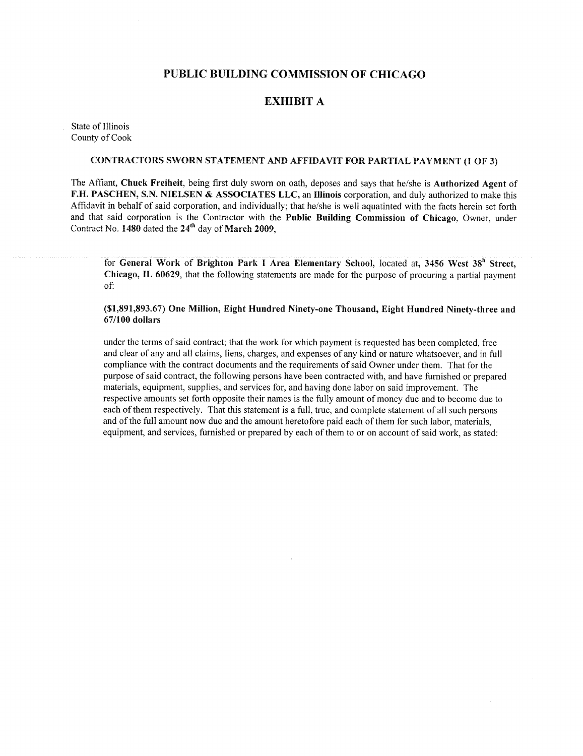# PUBLIC BUILDING COMMISSION OF CHICAGO

## **EXHIBIT A**

State of Illinois County of Cook

### **CONTRACTORS SWORN STATEMENT AND AFFIDAVIT FOR PARTIAL PAYMENT (1 OF 3)**

The Affiant, Chuck Freiheit, being first duly sworn on oath, deposes and says that he/she is Authorized Agent of F.H. PASCHEN, S.N. NIELSEN & ASSOCIATES LLC, an Illinois corporation, and duly authorized to make this Affidavit in behalf of said corporation, and individually; that he/she is well aquatinted with the facts herein set forth and that said corporation is the Contractor with the Public Building Commission of Chicago. Owner, under Contract No. 1480 dated the 24<sup>th</sup> day of March 2009,

for General Work of Brighton Park I Area Elementary School, located at, 3456 West 38<sup>h</sup> Street. Chicago, IL 60629, that the following statements are made for the purpose of procuring a partial payment  $\alpha$ <sup> $\ddot{\gamma}$ </sup>

## (\$1,891,893.67) One Million, Eight Hundred Ninety-one Thousand, Eight Hundred Ninety-three and  $67/100$  dollars

under the terms of said contract; that the work for which payment is requested has been completed, free and clear of any and all claims, liens, charges, and expenses of any kind or nature whatsoever, and in full compliance with the contract documents and the requirements of said Owner under them. That for the purpose of said contract, the following persons have been contracted with, and have furnished or prepared materials, equipment, supplies, and services for, and having done labor on said improvement. The respective amounts set forth opposite their names is the fully amount of money due and to become due to each of them respectively. That this statement is a full, true, and complete statement of all such persons and of the full amount now due and the amount heretofore paid each of them for such labor, materials, equipment, and services, furnished or prepared by each of them to or on account of said work, as stated: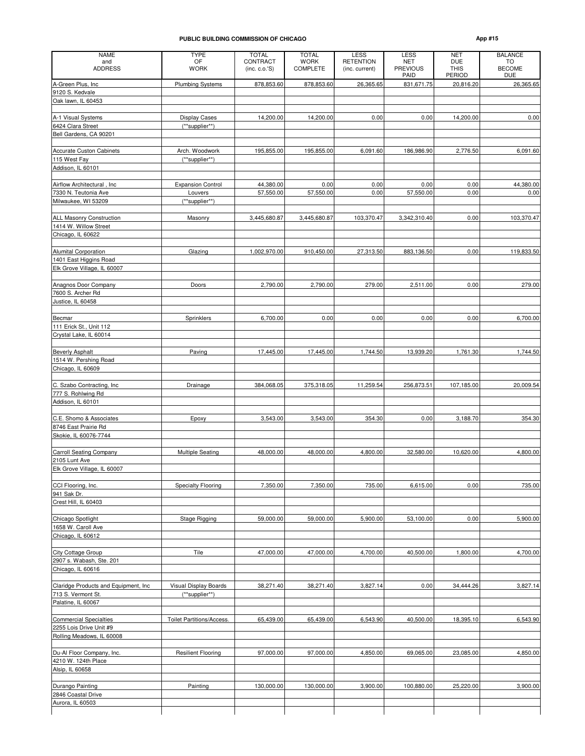#### **PUBLIC BUILDING COMMISSION OF CHICAGO App #15**

| <b>NAME</b>                                     | <b>TYPE</b>               | <b>TOTAL</b>               | <b>TOTAL</b>            | <b>LESS</b>                        | <b>LESS</b>                           | <b>NET</b>                                 | <b>BALANCE</b>                    |
|-------------------------------------------------|---------------------------|----------------------------|-------------------------|------------------------------------|---------------------------------------|--------------------------------------------|-----------------------------------|
| and<br><b>ADDRESS</b>                           | OF<br><b>WORK</b>         | CONTRACT<br>(inc. c. o.'S) | <b>WORK</b><br>COMPLETE | <b>RETENTION</b><br>(inc. current) | <b>NET</b><br><b>PREVIOUS</b><br>PAID | <b>DUE</b><br><b>THIS</b><br><b>PERIOD</b> | TO<br><b>BECOME</b><br><b>DUE</b> |
| A-Green Plus, Inc                               | <b>Plumbing Systems</b>   | 878,853.60                 | 878,853.60              | 26,365.65                          | 831,671.75                            | 20,816.20                                  | 26,365.65                         |
| 9120 S. Kedvale                                 |                           |                            |                         |                                    |                                       |                                            |                                   |
| Oak lawn, IL 60453                              |                           |                            |                         |                                    |                                       |                                            |                                   |
| A-1 Visual Systems                              | <b>Display Cases</b>      | 14,200.00                  | 14,200.00               | 0.00                               | 0.00                                  | 14,200.00                                  | 0.00                              |
| 6424 Clara Street                               | (**supplier**)            |                            |                         |                                    |                                       |                                            |                                   |
| Bell Gardens, CA 90201                          |                           |                            |                         |                                    |                                       |                                            |                                   |
|                                                 |                           |                            |                         |                                    |                                       |                                            |                                   |
| <b>Accurate Custon Cabinets</b>                 | Arch. Woodwork            | 195,855.00                 | 195,855.00              | 6,091.60                           | 186,986.90                            | 2,776.50                                   | 6,091.60                          |
| 115 West Fay<br>Addison, IL 60101               | (**supplier**)            |                            |                         |                                    |                                       |                                            |                                   |
|                                                 |                           |                            |                         |                                    |                                       |                                            |                                   |
| Airflow Architectural, Inc                      | <b>Expansion Control</b>  | 44,380.00                  | 0.00                    | 0.00                               | 0.00                                  | 0.00                                       | 44,380.00                         |
| 7330 N. Teutonia Ave                            | Louvers                   | 57,550.00                  | 57,550.00               | 0.00                               | 57,550.00                             | 0.00                                       | 0.00                              |
| Milwaukee, WI 53209                             | (**supplier**)            |                            |                         |                                    |                                       |                                            |                                   |
|                                                 |                           |                            |                         |                                    |                                       |                                            |                                   |
| <b>ALL Masonry Construction</b>                 | Masonry                   | 3,445,680.87               | 3,445,680.87            | 103,370.47                         | 3,342,310.40                          | 0.00                                       | 103,370.47                        |
| 1414 W. Willow Street<br>Chicago, IL 60622      |                           |                            |                         |                                    |                                       |                                            |                                   |
|                                                 |                           |                            |                         |                                    |                                       |                                            |                                   |
| Alumital Corporation                            | Glazing                   | 1,002,970.00               | 910,450.00              | 27,313.50                          | 883,136.50                            | 0.00                                       | 119,833.50                        |
| 1401 East Higgins Road                          |                           |                            |                         |                                    |                                       |                                            |                                   |
| Elk Grove Village, IL 60007                     |                           |                            |                         |                                    |                                       |                                            |                                   |
|                                                 |                           |                            |                         |                                    |                                       |                                            |                                   |
| Anagnos Door Company<br>7600 S. Archer Rd       | Doors                     | 2,790.00                   | 2,790.00                | 279.00                             | 2,511.00                              | 0.00                                       | 279.00                            |
| Justice, IL 60458                               |                           |                            |                         |                                    |                                       |                                            |                                   |
|                                                 |                           |                            |                         |                                    |                                       |                                            |                                   |
| Becmar                                          | Sprinklers                | 6,700.00                   | 0.00                    | 0.00                               | 0.00                                  | 0.00                                       | 6,700.00                          |
| 111 Erick St., Unit 112                         |                           |                            |                         |                                    |                                       |                                            |                                   |
| Crystal Lake, IL 60014                          |                           |                            |                         |                                    |                                       |                                            |                                   |
|                                                 |                           |                            |                         |                                    |                                       |                                            |                                   |
| <b>Beverly Asphalt</b><br>1514 W. Pershing Road | Paving                    | 17,445.00                  | 17,445.00               | 1,744.50                           | 13,939.20                             | 1,761.30                                   | 1,744.50                          |
| Chicago, IL 60609                               |                           |                            |                         |                                    |                                       |                                            |                                   |
|                                                 |                           |                            |                         |                                    |                                       |                                            |                                   |
| C. Szabo Contracting, Inc.                      | Drainage                  | 384,068.05                 | 375,318.05              | 11,259.54                          | 256,873.51                            | 107,185.00                                 | 20,009.54                         |
| 777 S. Rohlwing Rd                              |                           |                            |                         |                                    |                                       |                                            |                                   |
| Addison, IL 60101                               |                           |                            |                         |                                    |                                       |                                            |                                   |
| C.E. Shomo & Associates                         |                           |                            |                         |                                    |                                       |                                            |                                   |
| 8746 East Prairie Rd                            | Epoxy                     | 3,543.00                   | 3,543.00                | 354.30                             | 0.00                                  | 3,188.70                                   | 354.30                            |
| Skokie, IL 60076-7744                           |                           |                            |                         |                                    |                                       |                                            |                                   |
|                                                 |                           |                            |                         |                                    |                                       |                                            |                                   |
| <b>Carroll Seating Company</b>                  | <b>Multiple Seating</b>   | 48,000.00                  | 48,000.00               | 4,800.00                           | 32,580.00                             | 10,620.00                                  | 4,800.00                          |
| 2105 Lunt Ave                                   |                           |                            |                         |                                    |                                       |                                            |                                   |
| Elk Grove Village, IL 60007                     |                           |                            |                         |                                    |                                       |                                            |                                   |
| CCI Flooring, Inc.                              | Specialty Flooring        | 7,350.00                   | 7,350.00                | 735.00                             | 6,615.00                              | 0.00                                       | 735.00                            |
| 941 Sak Dr.                                     |                           |                            |                         |                                    |                                       |                                            |                                   |
| Crest Hill, IL 60403                            |                           |                            |                         |                                    |                                       |                                            |                                   |
|                                                 |                           |                            |                         |                                    |                                       |                                            |                                   |
| Chicago Spotlight                               | Stage Rigging             | 59,000.00                  | 59,000.00               | 5,900.00                           | 53,100.00                             | 0.00                                       | 5,900.00                          |
| 1658 W. Caroll Ave                              |                           |                            |                         |                                    |                                       |                                            |                                   |
| Chicago, IL 60612                               |                           |                            |                         |                                    |                                       |                                            |                                   |
| City Cottage Group                              | Tile                      | 47,000.00                  | 47,000.00               | 4,700.00                           | 40,500.00                             | 1,800.00                                   | 4,700.00                          |
| 2907 s. Wabash, Ste. 201                        |                           |                            |                         |                                    |                                       |                                            |                                   |
| Chicago, IL 60616                               |                           |                            |                         |                                    |                                       |                                            |                                   |
|                                                 |                           |                            |                         |                                    |                                       |                                            |                                   |
| Claridge Products and Equipment, Inc            | Visual Display Boards     | 38,271.40                  | 38,271.40               | 3,827.14                           | 0.00                                  | 34,444.26                                  | 3,827.14                          |
| 713 S. Vermont St.<br>Palatine, IL 60067        | (**supplier**)            |                            |                         |                                    |                                       |                                            |                                   |
|                                                 |                           |                            |                         |                                    |                                       |                                            |                                   |
| <b>Commercial Specialties</b>                   | Toilet Partitions/Access. | 65,439.00                  | 65,439.00               | 6,543.90                           | 40,500.00                             | 18,395.10                                  | 6,543.90                          |
| 2255 Lois Drive Unit #9                         |                           |                            |                         |                                    |                                       |                                            |                                   |
| Rolling Meadows, IL 60008                       |                           |                            |                         |                                    |                                       |                                            |                                   |
|                                                 |                           |                            |                         |                                    |                                       |                                            |                                   |
| Du-Al Floor Company, Inc.                       | <b>Resilient Flooring</b> | 97,000.00                  | 97,000.00               | 4,850.00                           | 69,065.00                             | 23,085.00                                  | 4,850.00                          |
| 4210 W. 124th Place                             |                           |                            |                         |                                    |                                       |                                            |                                   |
| Alsip, IL 60658                                 |                           |                            |                         |                                    |                                       |                                            |                                   |
| Durango Painting                                | Painting                  | 130,000.00                 | 130,000.00              | 3,900.00                           | 100,880.00                            | 25,220.00                                  | 3,900.00                          |
| 2846 Coastal Drive                              |                           |                            |                         |                                    |                                       |                                            |                                   |
| Aurora, IL 60503                                |                           |                            |                         |                                    |                                       |                                            |                                   |
|                                                 |                           |                            |                         |                                    |                                       |                                            |                                   |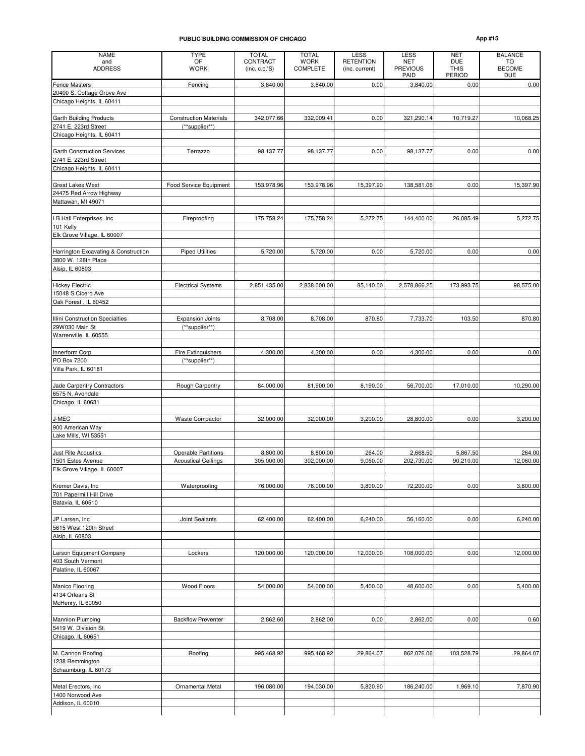#### **PUBLIC BUILDING COMMISSION OF CHICAGO App #15**

| <b>NAME</b>                                            | <b>TYPE</b>                                     | <b>TOTAL</b>               | <b>TOTAL</b>                   | <b>LESS</b>                        | <b>LESS</b>                           | <b>NET</b>                          | <b>BALANCE</b>                    |
|--------------------------------------------------------|-------------------------------------------------|----------------------------|--------------------------------|------------------------------------|---------------------------------------|-------------------------------------|-----------------------------------|
| and<br><b>ADDRESS</b>                                  | OF<br><b>WORK</b>                               | CONTRACT<br>(inc. c. o.'S) | <b>WORK</b><br><b>COMPLETE</b> | <b>RETENTION</b><br>(inc. current) | <b>NET</b><br><b>PREVIOUS</b><br>PAID | <b>DUE</b><br><b>THIS</b><br>PERIOD | TO<br><b>BECOME</b><br><b>DUE</b> |
| <b>Fence Masters</b>                                   | Fencing                                         | 3,840.00                   | 3,840.00                       | 0.00                               | 3,840.00                              | 0.00                                | 0.00                              |
| 20400 S. Cottage Grove Ave                             |                                                 |                            |                                |                                    |                                       |                                     |                                   |
| Chicago Heights, IL 60411                              |                                                 |                            |                                |                                    |                                       |                                     |                                   |
|                                                        |                                                 |                            |                                |                                    |                                       |                                     |                                   |
| <b>Garth Building Products</b><br>2741 E. 223rd Street | <b>Construction Materials</b><br>(**supplier**) | 342,077.66                 | 332,009.41                     | 0.00                               | 321,290.14                            | 10,719.27                           | 10,068.25                         |
| Chicago Heights, IL 60411                              |                                                 |                            |                                |                                    |                                       |                                     |                                   |
| <b>Garth Construction Services</b>                     | Terrazzo                                        | 98,137.77                  | 98,137.77                      | 0.00                               | 98,137.77                             | 0.00                                | 0.00                              |
| 2741 E. 223rd Street                                   |                                                 |                            |                                |                                    |                                       |                                     |                                   |
| Chicago Heights, IL 60411                              |                                                 |                            |                                |                                    |                                       |                                     |                                   |
|                                                        |                                                 |                            |                                |                                    |                                       |                                     |                                   |
| <b>Great Lakes West</b>                                | Food Service Equipment                          | 153,978.96                 | 153,978.96                     | 15,397.90                          | 138,581.06                            | 0.00                                | 15,397.90                         |
| 24475 Red Arrow Highway<br>Mattawan, MI 49071          |                                                 |                            |                                |                                    |                                       |                                     |                                   |
|                                                        |                                                 |                            |                                |                                    |                                       |                                     |                                   |
| LB Hall Enterprises, Inc                               | Fireproofing                                    | 175,758.24                 | 175,758.24                     | 5,272.75                           | 144,400.00                            | 26,085.49                           | 5,272.75                          |
| 101 Kelly                                              |                                                 |                            |                                |                                    |                                       |                                     |                                   |
| Elk Grove Village, IL 60007                            |                                                 |                            |                                |                                    |                                       |                                     |                                   |
|                                                        |                                                 |                            |                                |                                    |                                       |                                     |                                   |
| Harrington Excavating & Construction                   | <b>Piped Utilities</b>                          | 5,720.00                   | 5,720.00                       | 0.00                               | 5,720.00                              | 0.00                                | 0.00                              |
| 3800 W. 128th Place                                    |                                                 |                            |                                |                                    |                                       |                                     |                                   |
| Alsip, IL 60803                                        |                                                 |                            |                                |                                    |                                       |                                     |                                   |
| <b>Hickey Electric</b>                                 | <b>Electrical Systems</b>                       | 2,851,435.00               | 2,838,000.00                   | 85,140.00                          | 2,578,866.25                          | 173,993.75                          | 98,575.00                         |
| 15048 S Cicero Ave                                     |                                                 |                            |                                |                                    |                                       |                                     |                                   |
| Oak Forest, IL 60452                                   |                                                 |                            |                                |                                    |                                       |                                     |                                   |
|                                                        |                                                 |                            |                                |                                    |                                       |                                     |                                   |
| Illini Construction Specialties                        | <b>Expansion Joints</b>                         | 8,708.00                   | 8,708.00                       | 870.80                             | 7,733.70                              | 103.50                              | 870.80                            |
| 29W030 Main St                                         | (**supplier**)                                  |                            |                                |                                    |                                       |                                     |                                   |
| Warrenville, IL 60555                                  |                                                 |                            |                                |                                    |                                       |                                     |                                   |
|                                                        |                                                 |                            |                                |                                    |                                       |                                     |                                   |
| Innerform Corp<br>PO Box 7200                          | <b>Fire Extinguishers</b><br>(**supplier**)     | 4,300.00                   | 4,300.00                       | 0.00                               | 4,300.00                              | 0.00                                | 0.00                              |
| Villa Park, IL 60181                                   |                                                 |                            |                                |                                    |                                       |                                     |                                   |
|                                                        |                                                 |                            |                                |                                    |                                       |                                     |                                   |
| Jade Carpentry Contractors                             | Rough Carpentry                                 | 84,000.00                  | 81,900.00                      | 8,190.00                           | 56,700.00                             | 17,010.00                           | 10,290.00                         |
| 6575 N. Avondale                                       |                                                 |                            |                                |                                    |                                       |                                     |                                   |
| Chicago, IL 60631                                      |                                                 |                            |                                |                                    |                                       |                                     |                                   |
|                                                        |                                                 |                            |                                |                                    |                                       |                                     |                                   |
| J-MEC<br>900 American Way                              | <b>Waste Compactor</b>                          | 32,000.00                  | 32,000.00                      | 3,200.00                           | 28,800.00                             | 0.00                                | 3,200.00                          |
| Lake Mills, WI 53551                                   |                                                 |                            |                                |                                    |                                       |                                     |                                   |
|                                                        |                                                 |                            |                                |                                    |                                       |                                     |                                   |
| Just Rite Acoustics                                    | <b>Operable Partitions</b>                      | 8,800.00                   | 8,800.00                       | 264.00                             | 2,668.50                              | 5,867.50                            | 264.00                            |
| 1501 Estes Avenue                                      | <b>Acoustical Ceilings</b>                      | 305,000.00                 | 302,000.00                     | 9,060.00                           | 202,730.00                            | 90,210.00                           | 12,060.00                         |
| Elk Grove Village, IL 60007                            |                                                 |                            |                                |                                    |                                       |                                     |                                   |
|                                                        |                                                 |                            |                                |                                    |                                       |                                     |                                   |
| Kremer Davis, Inc<br>701 Papermill Hill Drive          | Waterproofing                                   | 76,000.00                  | 76,000.00                      | 3,800.00                           | 72,200.00                             | 0.00                                | 3,800.00                          |
| Batavia, IL 60510                                      |                                                 |                            |                                |                                    |                                       |                                     |                                   |
|                                                        |                                                 |                            |                                |                                    |                                       |                                     |                                   |
| JP Larsen, Inc                                         | Joint Sealants                                  | 62,400.00                  | 62,400.00                      | 6,240.00                           | 56,160.00                             | 0.00                                | 6,240.00                          |
| 5615 West 120th Street                                 |                                                 |                            |                                |                                    |                                       |                                     |                                   |
| Alsip, IL 60803                                        |                                                 |                            |                                |                                    |                                       |                                     |                                   |
|                                                        |                                                 |                            |                                |                                    |                                       |                                     |                                   |
| Larson Equipment Company<br>403 South Vermont          | Lockers                                         | 120,000.00                 | 120,000.00                     | 12,000.00                          | 108,000.00                            | 0.00                                | 12,000.00                         |
| Palatine, IL 60067                                     |                                                 |                            |                                |                                    |                                       |                                     |                                   |
|                                                        |                                                 |                            |                                |                                    |                                       |                                     |                                   |
| Manico Flooring                                        | Wood Floors                                     | 54,000.00                  | 54,000.00                      | 5,400.00                           | 48,600.00                             | 0.00                                | 5,400.00                          |
| 4134 Orleans St                                        |                                                 |                            |                                |                                    |                                       |                                     |                                   |
| McHenry, IL 60050                                      |                                                 |                            |                                |                                    |                                       |                                     |                                   |
|                                                        |                                                 |                            |                                |                                    |                                       |                                     |                                   |
| Mannion Plumbing                                       | <b>Backflow Preventer</b>                       | 2,862.60                   | 2,862.00                       | 0.00                               | 2,862.00                              | 0.00                                | 0.60                              |
| 5419 W. Division St.<br>Chicago, IL 60651              |                                                 |                            |                                |                                    |                                       |                                     |                                   |
|                                                        |                                                 |                            |                                |                                    |                                       |                                     |                                   |
| M. Cannon Roofing                                      | Roofing                                         | 995,468.92                 | 995,468.92                     | 29,864.07                          | 862,076.06                            | 103,528.79                          | 29,864.07                         |
| 1238 Remmington                                        |                                                 |                            |                                |                                    |                                       |                                     |                                   |
| Schaumburg, IL 60173                                   |                                                 |                            |                                |                                    |                                       |                                     |                                   |
|                                                        |                                                 |                            |                                |                                    |                                       |                                     |                                   |
| Metal Erectors, Inc                                    | Ornamental Metal                                | 196,080.00                 | 194,030.00                     | 5,820.90                           | 186,240.00                            | 1,969.10                            | 7,870.90                          |
| 1400 Norwood Ave<br>Addison, IL 60010                  |                                                 |                            |                                |                                    |                                       |                                     |                                   |
|                                                        |                                                 |                            |                                |                                    |                                       |                                     |                                   |
|                                                        |                                                 |                            |                                |                                    |                                       |                                     |                                   |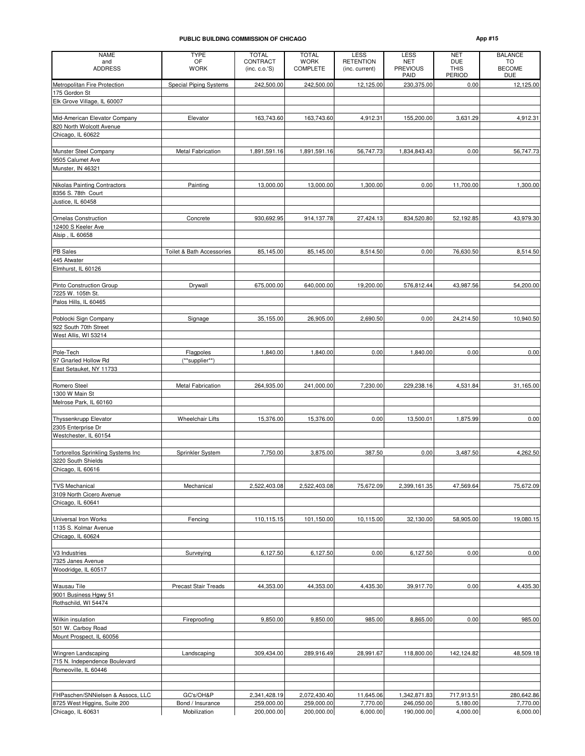#### **PUBLIC BUILDING COMMISSION OF CHICAGO**

| ADD | <br>u |
|-----|-------|
|-----|-------|

| <b>NAME</b>                                        | <b>TYPE</b>                 | <b>TOTAL</b>               | <b>TOTAL</b>            | LESS                               | <b>LESS</b>                           | <b>NET</b>                                 | <b>BALANCE</b>                    |
|----------------------------------------------------|-----------------------------|----------------------------|-------------------------|------------------------------------|---------------------------------------|--------------------------------------------|-----------------------------------|
| and<br><b>ADDRESS</b>                              | OF<br><b>WORK</b>           | CONTRACT<br>(inc. c. o.'S) | <b>WORK</b><br>COMPLETE | <b>RETENTION</b><br>(inc. current) | <b>NET</b><br><b>PREVIOUS</b><br>PAID | <b>DUE</b><br><b>THIS</b><br><b>PERIOD</b> | TO<br><b>BECOME</b><br><b>DUE</b> |
| Metropolitan Fire Protection                       | Special Piping Systems      | 242,500.00                 | 242,500.00              | 12,125.00                          | 230,375.00                            | 0.00                                       | 12,125.00                         |
| 175 Gordon St                                      |                             |                            |                         |                                    |                                       |                                            |                                   |
| Elk Grove Village, IL 60007                        |                             |                            |                         |                                    |                                       |                                            |                                   |
| Mid-American Elevator Company                      | Elevator                    | 163,743.60                 | 163,743.60              | 4,912.31                           | 155,200.00                            | 3,631.29                                   | 4,912.31                          |
| 820 North Wolcott Avenue                           |                             |                            |                         |                                    |                                       |                                            |                                   |
| Chicago, IL 60622                                  |                             |                            |                         |                                    |                                       |                                            |                                   |
| Munster Steel Company                              | Metal Fabrication           | 1,891,591.16               | 1,891,591.16            | 56,747.73                          | 1,834,843.43                          | 0.00                                       | 56,747.73                         |
| 9505 Calumet Ave                                   |                             |                            |                         |                                    |                                       |                                            |                                   |
| Munster, IN 46321                                  |                             |                            |                         |                                    |                                       |                                            |                                   |
|                                                    |                             |                            |                         |                                    |                                       |                                            |                                   |
| Nikolas Painting Contractors<br>8356 S. 78th Court | Painting                    | 13,000.00                  | 13,000.00               | 1,300.00                           | 0.00                                  | 11,700.00                                  | 1,300.00                          |
| Justice, IL 60458                                  |                             |                            |                         |                                    |                                       |                                            |                                   |
|                                                    |                             |                            |                         |                                    |                                       |                                            |                                   |
| <b>Ornelas Construction</b>                        | Concrete                    | 930,692.95                 | 914,137.78              | 27,424.13                          | 834,520.80                            | 52,192.85                                  | 43,979.30                         |
| 12400 S Keeler Ave<br>Alsip, IL 60658              |                             |                            |                         |                                    |                                       |                                            |                                   |
|                                                    |                             |                            |                         |                                    |                                       |                                            |                                   |
| <b>PB Sales</b>                                    | Toilet & Bath Accessories   | 85,145.00                  | 85,145.00               | 8,514.50                           | 0.00                                  | 76,630.50                                  | 8,514.50                          |
| 445 Atwater                                        |                             |                            |                         |                                    |                                       |                                            |                                   |
| Elmhurst, IL 60126                                 |                             |                            |                         |                                    |                                       |                                            |                                   |
| <b>Pinto Construction Group</b>                    | Drywall                     | 675,000.00                 | 640,000.00              | 19,200.00                          | 576,812.44                            | 43,987.56                                  | 54,200.00                         |
| 7225 W. 105th St.                                  |                             |                            |                         |                                    |                                       |                                            |                                   |
| Palos Hills, IL 60465                              |                             |                            |                         |                                    |                                       |                                            |                                   |
| Poblocki Sign Company                              | Signage                     | 35,155.00                  | 26,905.00               | 2,690.50                           | 0.00                                  | 24,214.50                                  | 10,940.50                         |
| 922 South 70th Street                              |                             |                            |                         |                                    |                                       |                                            |                                   |
| West Allis, WI 53214                               |                             |                            |                         |                                    |                                       |                                            |                                   |
|                                                    |                             |                            |                         | 0.00                               |                                       |                                            |                                   |
| Pole-Tech<br>97 Gnarled Hollow Rd                  | Flagpoles<br>(**supplier**) | 1,840.00                   | 1,840.00                |                                    | 1,840.00                              | 0.00                                       | 0.00                              |
| East Setauket, NY 11733                            |                             |                            |                         |                                    |                                       |                                            |                                   |
|                                                    |                             |                            |                         |                                    |                                       |                                            |                                   |
| Romero Steel                                       | <b>Metal Fabrication</b>    | 264,935.00                 | 241,000.00              | 7,230.00                           | 229,238.16                            | 4,531.84                                   | 31,165.00                         |
| 1300 W Main St<br>Melrose Park, IL 60160           |                             |                            |                         |                                    |                                       |                                            |                                   |
|                                                    |                             |                            |                         |                                    |                                       |                                            |                                   |
| Thyssenkrupp Elevator                              | <b>Wheelchair Lifts</b>     | 15,376.00                  | 15,376.00               | 0.00                               | 13,500.01                             | 1,875.99                                   | 0.00                              |
| 2305 Enterprise Dr<br>Westchester, IL 60154        |                             |                            |                         |                                    |                                       |                                            |                                   |
|                                                    |                             |                            |                         |                                    |                                       |                                            |                                   |
| Tortorellos Sprinkling Systems Inc                 | Sprinkler System            | 7,750.00                   | 3,875.00                | 387.50                             | 0.00                                  | 3,487.50                                   | 4,262.50                          |
| 3220 South Shields                                 |                             |                            |                         |                                    |                                       |                                            |                                   |
| Chicago, IL 60616                                  |                             |                            |                         |                                    |                                       |                                            |                                   |
| <b>TVS Mechanical</b>                              | Mechanical                  | 2,522,403.08               | 2,522,403.08            | 75,672.09                          | 2,399,161.35                          | 47,569.64                                  | 75,672.09                         |
| 3109 North Cicero Avenue                           |                             |                            |                         |                                    |                                       |                                            |                                   |
| Chicago, IL 60641                                  |                             |                            |                         |                                    |                                       |                                            |                                   |
| Universal Iron Works                               | Fencing                     | 110,115.15                 | 101,150.00              | 10,115.00                          | 32,130.00                             | 58,905.00                                  | 19,080.15                         |
| 1135 S. Kolmar Avenue                              |                             |                            |                         |                                    |                                       |                                            |                                   |
| Chicago, IL 60624                                  |                             |                            |                         |                                    |                                       |                                            |                                   |
|                                                    |                             |                            |                         |                                    |                                       |                                            |                                   |
| V3 Industries<br>7325 Janes Avenue                 | Surveying                   | 6,127.50                   | 6,127.50                | 0.00                               | 6,127.50                              | 0.00                                       | 0.00                              |
| Woodridge, IL 60517                                |                             |                            |                         |                                    |                                       |                                            |                                   |
|                                                    |                             |                            |                         |                                    |                                       |                                            |                                   |
| Wausau Tile<br>9001 Business Hgwy 51               | <b>Precast Stair Treads</b> | 44,353.00                  | 44,353.00               | 4,435.30                           | 39,917.70                             | 0.00                                       | 4,435.30                          |
| Rothschild, WI 54474                               |                             |                            |                         |                                    |                                       |                                            |                                   |
|                                                    |                             |                            |                         |                                    |                                       |                                            |                                   |
| Wilkin insulation                                  | Fireproofing                | 9,850.00                   | 9,850.00                | 985.00                             | 8,865.00                              | 0.00                                       | 985.00                            |
| 501 W. Carboy Road<br>Mount Prospect, IL 60056     |                             |                            |                         |                                    |                                       |                                            |                                   |
|                                                    |                             |                            |                         |                                    |                                       |                                            |                                   |
| Wingren Landscaping                                | Landscaping                 | 309,434.00                 | 289,916.49              | 28,991.67                          | 118,800.00                            | 142,124.82                                 | 48,509.18                         |
| 715 N. Independence Boulevard                      |                             |                            |                         |                                    |                                       |                                            |                                   |
| Romeoville, IL 60446                               |                             |                            |                         |                                    |                                       |                                            |                                   |
|                                                    |                             |                            |                         |                                    |                                       |                                            |                                   |
| FHPaschen/SNNielsen & Assocs, LLC                  | GC's/OH&P                   | 2,341,428.19               | 2,072,430.40            | 11,645.06                          | 1,342,871.83                          | 717,913.51                                 | 280,642.86                        |
| 8725 West Higgins, Suite 200                       | Bond / Insurance            | 259,000.00                 | 259,000.00              | 7,770.00                           | 246,050.00                            | 5,180.00                                   | 7,770.00                          |
| Chicago, IL 60631                                  | Mobilization                | 200,000.00                 | 200,000.00              | 6,000.00                           | 190,000.00                            | 4,000.00                                   | 6,000.00                          |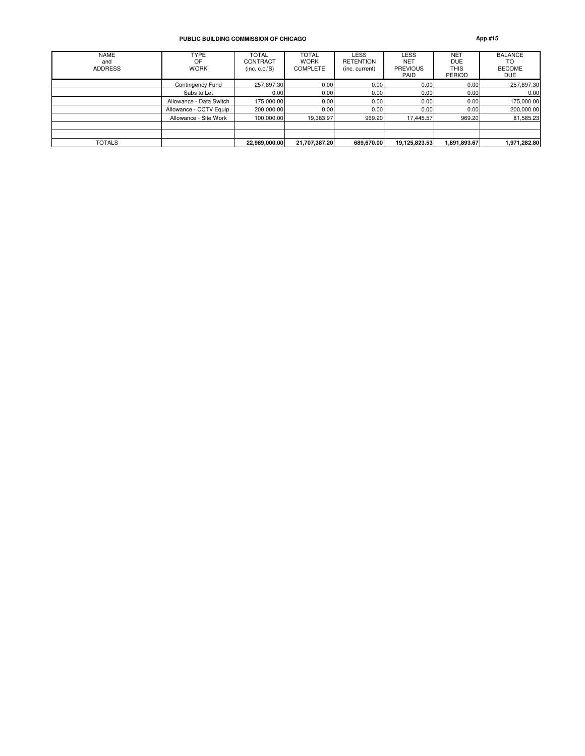#### **PUBLIC BUILDING COMMISSION OF CHICAGO App #15**

| <b>NAME</b><br>and<br><b>ADDRESS</b> | <b>TYPE</b><br>OF<br><b>WORK</b> | <b>TOTAL</b><br>CONTRACT<br>(inc. c. o.'S) | <b>TOTAL</b><br><b>WORK</b><br><b>COMPLETE</b> | <b>LESS</b><br><b>RETENTION</b><br>(inc. current) | LESS<br><b>NET</b><br><b>PREVIOUS</b><br>PAID | <b>NET</b><br><b>DUE</b><br>THIS<br><b>PERIOD</b> | <b>BALANCE</b><br>TO<br><b>BECOME</b><br><b>DUE</b> |
|--------------------------------------|----------------------------------|--------------------------------------------|------------------------------------------------|---------------------------------------------------|-----------------------------------------------|---------------------------------------------------|-----------------------------------------------------|
|                                      | Contingency Fund                 | 257,897.30                                 | 0.00                                           | 0.00                                              | 0.00                                          | 0.00                                              | 257,897.30                                          |
|                                      | Subs to Let                      | 0.00                                       | 0.00                                           | 0.00                                              | 0.00                                          | 0.00                                              | 0.00                                                |
|                                      | Allowance - Data Switch          | 175,000.00                                 | 0.00                                           | 0.00                                              | 0.00                                          | 0.00                                              | 175,000.00                                          |
|                                      | Allowance - CCTV Equip.          | 200,000.00                                 | 0.00                                           | 0.00                                              | 0.00                                          | 0.00                                              | 200,000.00                                          |
|                                      | Allowance - Site Work            | 100,000.00                                 | 19,383.97                                      | 969.20                                            | 17,445.57                                     | 969.20                                            | 81,585.23                                           |
|                                      |                                  |                                            |                                                |                                                   |                                               |                                                   |                                                     |
| <b>TOTALS</b>                        |                                  | 22,989,000.00                              | 21,707,387.20                                  | 689.670.00                                        | 19,125,823.53                                 | 1,891,893.67                                      | 1,971,282.80                                        |